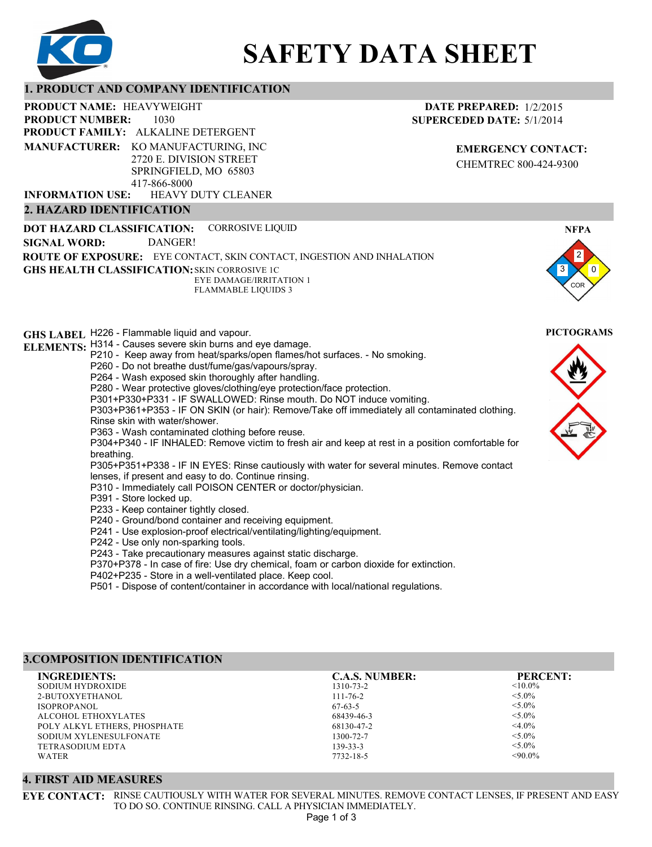

# **SAFETY DATA SHEET**

# **1. PRODUCT AND COMPANY IDENTIFICATION**

1030 PRODUCT NAME: HEAVYWEIGHT **PRODUCT FAMILY: ALKALINE DETERGENT** HEAVY DUTY CLEANER **PRODUCT NUMBER: MANUFACTURER:** KO MANUFACTURING, INC 2720 E. DIVISION STREET SPRINGFIELD, MO 65803 417-866-8000 **INFORMATION USE:**

# **2. HAZARD IDENTIFICATION**

**DOT HAZARD CLASSIFICATION: GHS HEALTH CLASSIFICATION:** SKIN CORROSIVE 1C **ROUTE OF EXPOSURE:** EYE CONTACT, SKIN CONTACT, INGESTION AND INHALATION CORROSIVE LIQUID EYE DAMAGE/IRRITATION 1 FLAMMABLE LIQUIDS 3 **SIGNAL WORD:** DANGER!

# **GHS LABEL**  H226 - Flammable liquid and vapour. **PICTOGRAMS**

# **ELEMENTS:** H314 - Causes severe skin burns and eye damage.

- P210 Keep away from heat/sparks/open flames/hot surfaces. No smoking.
- P260 Do not breathe dust/fume/gas/vapours/spray.
- P264 Wash exposed skin thoroughly after handling.
- P280 Wear protective gloves/clothing/eye protection/face protection.
- P301+P330+P331 IF SWALLOWED: Rinse mouth. Do NOT induce vomiting.

P303+P361+P353 - IF ON SKIN (or hair): Remove/Take off immediately all contaminated clothing. Rinse skin with water/shower.

P363 - Wash contaminated clothing before reuse.

P304+P340 - IF INHALED: Remove victim to fresh air and keep at rest in a position comfortable for breathing.

P305+P351+P338 - IF IN EYES: Rinse cautiously with water for several minutes. Remove contact lenses, if present and easy to do. Continue rinsing.

P310 - Immediately call POISON CENTER or doctor/physician.

- P391 Store locked up.
- P233 Keep container tightly closed.
- P240 Ground/bond container and receiving equipment.
- P241 Use explosion-proof electrical/ventilating/lighting/equipment.
- P242 Use only non-sparking tools.
- P243 Take precautionary measures against static discharge.
- P370+P378 In case of fire: Use dry chemical, foam or carbon dioxide for extinction.

P402+P235 - Store in a well-ventilated place. Keep cool.

P501 - Dispose of content/container in accordance with local/national regulations.

# **3.COMPOSITION IDENTIFICATION**

| <b>INGREDIENTS:</b>          | <b>C.A.S. NUMBER:</b> | <b>PERCENT:</b> |
|------------------------------|-----------------------|-----------------|
| SODIUM HYDROXIDE             | 1310-73-2             | $< 10.0\%$      |
| 2-BUTOXYETHANOL              | $111 - 76 - 2$        | $< 5.0\%$       |
| <b>ISOPROPANOL</b>           | $67-63-5$             | $< 5.0\%$       |
| ALCOHOL ETHOXYLATES          | 68439-46-3            | $< 5.0\%$       |
| POLY ALKYL ETHERS, PHOSPHATE | 68130-47-2            | $<$ 4.0%        |
| SODIUM XYLENESULFONATE       | 1300-72-7             | $< 5.0\%$       |
| <b>TETRASODIUM EDTA</b>      | $139 - 33 - 3$        | $< 5.0\%$       |
| WATER                        | 7732-18-5             | $< 90.0\%$      |

# **4. FIRST AID MEASURES**

**EYE CONTACT:** RINSE CAUTIOUSLY WITH WATER FOR SEVERAL MINUTES. REMOVE CONTACT LENSES, IF PRESENT AND EASY TO DO SO. CONTINUE RINSING. CALL A PHYSICIAN IMMEDIATELY.

**DATE PREPARED:** 1/2/2015 **SUPERCEDED DATE:** 5/1/2014

> **EMERGENCY CONTACT:** CHEMTREC 800-424-9300



**NFPA**



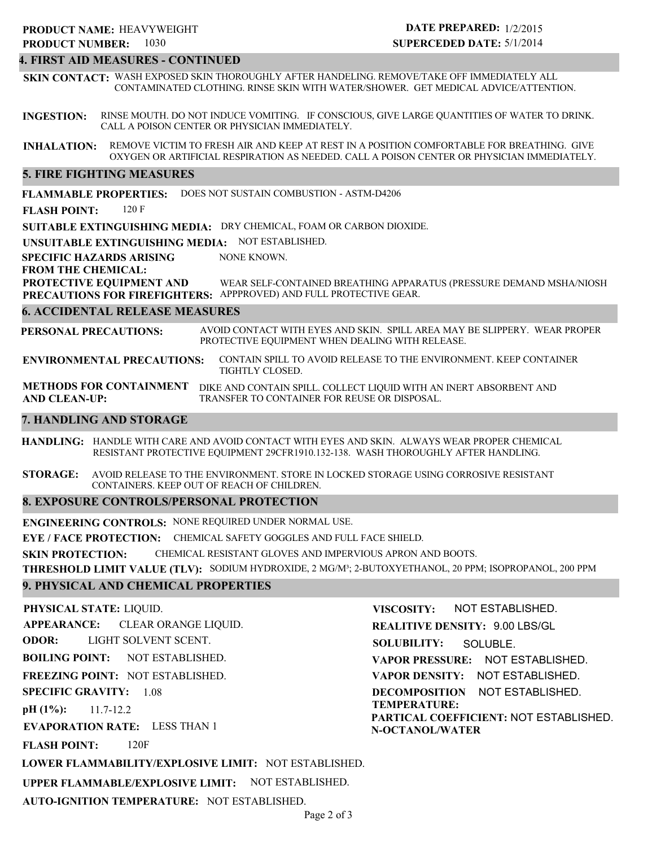#### **4. FIRST AID MEASURES - CONTINUED**

**SKIN CONTACT:** WASH EXPOSED SKIN THOROUGHLY AFTER HANDELING. REMOVE/TAKE OFF IMMEDIATELY ALL CONTAMINATED CLOTHING. RINSE SKIN WITH WATER/SHOWER. GET MEDICAL ADVICE/ATTENTION.

**INGESTION:** RINSE MOUTH. DO NOT INDUCE VOMITING. IF CONSCIOUS, GIVE LARGE QUANTITIES OF WATER TO DRINK. CALL A POISON CENTER OR PHYSICIAN IMMEDIATELY.

**INHALATION:** REMOVE VICTIM TO FRESH AIR AND KEEP AT REST IN A POSITION COMFORTABLE FOR BREATHING. GIVE OXYGEN OR ARTIFICIAL RESPIRATION AS NEEDED. CALL A POISON CENTER OR PHYSICIAN IMMEDIATELY.

### **5. FIRE FIGHTING MEASURES**

**FLAMMABLE PROPERTIES:** DOES NOT SUSTAIN COMBUSTION - ASTM-D4206

**FLASH POINT:** 120 F

**SUITABLE EXTINGUISHING MEDIA:** DRY CHEMICAL, FOAM OR CARBON DIOXIDE.

**UNSUITABLE EXTINGUISHING MEDIA:** NOT ESTABLISHED.

**SPECIFIC HAZARDS ARISING** NONE KNOWN.

#### **FROM THE CHEMICAL:**

**PROTECTIVE EQUIPMENT AND PRECAUTIONS FOR FIREFIGHTERS:** APPPROVED) AND FULL PROTECTIVE GEAR. WEAR SELF-CONTAINED BREATHING APPARATUS (PRESSURE DEMAND MSHA/NIOSH

### **6. ACCIDENTAL RELEASE MEASURES**

**PERSONAL PRECAUTIONS:** AVOID CONTACT WITH EYES AND SKIN. SPILL AREA MAY BE SLIPPERY. WEAR PROPER PROTECTIVE EQUIPMENT WHEN DEALING WITH RELEASE.

**ENVIRONMENTAL PRECAUTIONS:** CONTAIN SPILL TO AVOID RELEASE TO THE ENVIRONMENT. KEEP CONTAINER TIGHTLY CLOSED.

**METHODS FOR CONTAINMENT** DIKE AND CONTAIN SPILL. COLLECT LIQUID WITH AN INERT ABSORBENT AND **AND CLEAN-UP:** TRANSFER TO CONTAINER FOR REUSE OR DISPOSAL.

### **7. HANDLING AND STORAGE**

**HANDLING:** HANDLE WITH CARE AND AVOID CONTACT WITH EYES AND SKIN. ALWAYS WEAR PROPER CHEMICAL RESISTANT PROTECTIVE EQUIPMENT 29CFR1910.132-138. WASH THOROUGHLY AFTER HANDLING.

**STORAGE:** AVOID RELEASE TO THE ENVIRONMENT. STORE IN LOCKED STORAGE USING CORROSIVE RESISTANT CONTAINERS. KEEP OUT OF REACH OF CHILDREN.

# **8. EXPOSURE CONTROLS/PERSONAL PROTECTION**

**ENGINEERING CONTROLS:** NONE REQUIRED UNDER NORMAL USE.

**EYE / FACE PROTECTION:** CHEMICAL SAFETY GOGGLES AND FULL FACE SHIELD.

**SKIN PROTECTION:** CHEMICAL RESISTANT GLOVES AND IMPERVIOUS APRON AND BOOTS.

**THRESHOLD LIMIT VALUE (TLV):** SODIUM HYDROXIDE, 2 MG/M³; 2-BUTOXYETHANOL, 20 PPM; ISOPROPANOL, 200 PPM

# **9. PHYSICAL AND CHEMICAL PROPERTIES**

**PHYSICAL STATE:** LIQUID.

**APPEARANCE: ODOR: BOILING POINT: FREEZING POINT:** NOT ESTABLISHED. **SPECIFIC GRAVITY:** 1.08 **pH (1%): EVAPORATION RATE:** LESS THAN 1 NOT ESTABLISHED. 11.7-12.2 CLEAR ORANGE LIQUID. LIGHT SOLVENT SCENT.

**FLASH POINT:** 120F

**REALITIVE DENSITY:** 9.00 LBS/GL **SOLUBILITY: VAPOR PRESSURE:** NOT ESTABLISHED. **VAPOR DENSITY:** NOT ESTABLISHED. **DECOMPOSITION** NOT ESTABLISHED. **TEMPERATURE: PARTICAL COEFFICIENT:** NOT ESTABLISHED. **N-OCTANOL/WATER** SOLUBLE.

NOT ESTABLISHED.

**VISCOSITY:**

**LOWER FLAMMABILITY/EXPLOSIVE LIMIT:** NOT ESTABLISHED.

**UPPER FLAMMABLE/EXPLOSIVE LIMIT:** NOT ESTABLISHED.

**AUTO-IGNITION TEMPERATURE:** NOT ESTABLISHED.